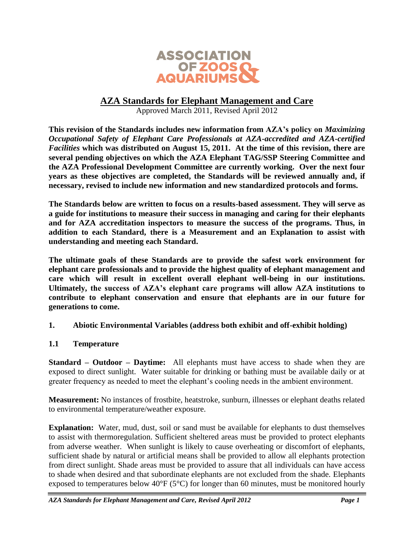

## **AZA Standards for Elephant Management and Care**

Approved March 2011, Revised April 2012

**This revision of the Standards includes new information from AZA's policy on** *Maximizing Occupational Safety of Elephant Care Professionals at AZA-accredited and AZA-certified Facilities* **which was distributed on August 15, 2011. At the time of this revision, there are several pending objectives on which the AZA Elephant TAG/SSP Steering Committee and the AZA Professional Development Committee are currently working. Over the next four years as these objectives are completed, the Standards will be reviewed annually and, if necessary, revised to include new information and new standardized protocols and forms.**

**The Standards below are written to focus on a results-based assessment. They will serve as a guide for institutions to measure their success in managing and caring for their elephants and for AZA accreditation inspectors to measure the success of the programs. Thus, in addition to each Standard, there is a Measurement and an Explanation to assist with understanding and meeting each Standard.** 

**The ultimate goals of these Standards are to provide the safest work environment for elephant care professionals and to provide the highest quality of elephant management and care which will result in excellent overall elephant well-being in our institutions. Ultimately, the success of AZA's elephant care programs will allow AZA institutions to contribute to elephant conservation and ensure that elephants are in our future for generations to come.** 

### **1. Abiotic Environmental Variables (address both exhibit and off-exhibit holding)**

### **1.1 Temperature**

**Standard – Outdoor – Daytime:** All elephants must have access to shade when they are exposed to direct sunlight. Water suitable for drinking or bathing must be available daily or at greater frequency as needed to meet the elephant's cooling needs in the ambient environment.

**Measurement:** No instances of frostbite, heatstroke, sunburn, illnesses or elephant deaths related to environmental temperature/weather exposure.

**Explanation:** Water, mud, dust, soil or sand must be available for elephants to dust themselves to assist with thermoregulation. Sufficient sheltered areas must be provided to protect elephants from adverse weather. When sunlight is likely to cause overheating or discomfort of elephants, sufficient shade by natural or artificial means shall be provided to allow all elephants protection from direct sunlight. Shade areas must be provided to assure that all individuals can have access to shade when desired and that subordinate elephants are not excluded from the shade. Elephants exposed to temperatures below  $40^{\circ}F(5^{\circ}C)$  for longer than 60 minutes, must be monitored hourly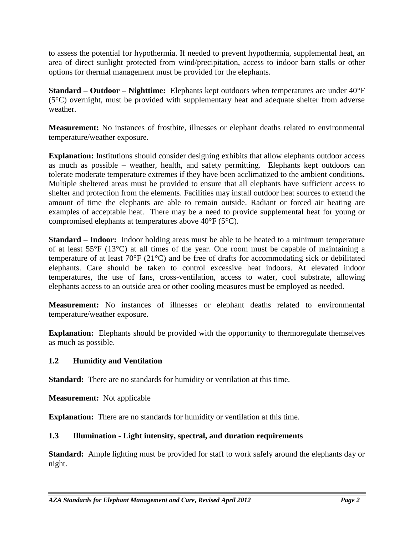to assess the potential for hypothermia. If needed to prevent hypothermia, supplemental heat, an area of direct sunlight protected from wind/precipitation, access to indoor barn stalls or other options for thermal management must be provided for the elephants.

**Standard – Outdoor – Nighttime:** Elephants kept outdoors when temperatures are under 40°F (5°C) overnight, must be provided with supplementary heat and adequate shelter from adverse weather.

**Measurement:** No instances of frostbite, illnesses or elephant deaths related to environmental temperature/weather exposure.

**Explanation:** Institutions should consider designing exhibits that allow elephants outdoor access as much as possible – weather, health, and safety permitting. Elephants kept outdoors can tolerate moderate temperature extremes if they have been acclimatized to the ambient conditions. Multiple sheltered areas must be provided to ensure that all elephants have sufficient access to shelter and protection from the elements. Facilities may install outdoor heat sources to extend the amount of time the elephants are able to remain outside. Radiant or forced air heating are examples of acceptable heat. There may be a need to provide supplemental heat for young or compromised elephants at temperatures above 40°F (5°C).

**Standard – Indoor:** Indoor holding areas must be able to be heated to a minimum temperature of at least 55°F (13°C) at all times of the year. One room must be capable of maintaining a temperature of at least 70°F (21°C) and be free of drafts for accommodating sick or debilitated elephants. Care should be taken to control excessive heat indoors. At elevated indoor temperatures, the use of fans, cross-ventilation, access to water, cool substrate, allowing elephants access to an outside area or other cooling measures must be employed as needed.

**Measurement:** No instances of illnesses or elephant deaths related to environmental temperature/weather exposure.

**Explanation:** Elephants should be provided with the opportunity to thermoregulate themselves as much as possible.

## **1.2 Humidity and Ventilation**

**Standard:** There are no standards for humidity or ventilation at this time.

**Measurement:** Not applicable

**Explanation:** There are no standards for humidity or ventilation at this time.

## **1.3 Illumination - Light intensity, spectral, and duration requirements**

**Standard:** Ample lighting must be provided for staff to work safely around the elephants day or night.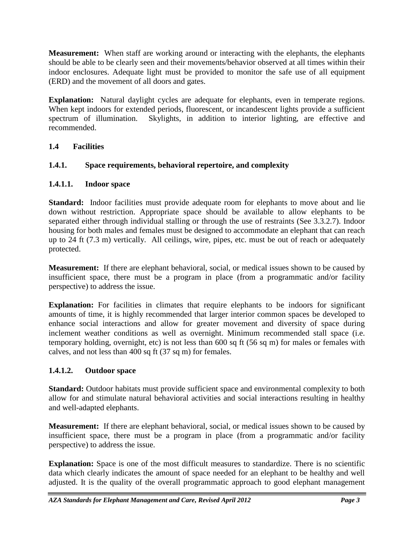**Measurement:** When staff are working around or interacting with the elephants, the elephants should be able to be clearly seen and their movements/behavior observed at all times within their indoor enclosures. Adequate light must be provided to monitor the safe use of all equipment (ERD) and the movement of all doors and gates.

**Explanation:** Natural daylight cycles are adequate for elephants, even in temperate regions. When kept indoors for extended periods, fluorescent, or incandescent lights provide a sufficient spectrum of illumination. Skylights, in addition to interior lighting, are effective and recommended.

# **1.4 Facilities**

# **1.4.1. Space requirements, behavioral repertoire, and complexity**

## **1.4.1.1. Indoor space**

**Standard:** Indoor facilities must provide adequate room for elephants to move about and lie down without restriction. Appropriate space should be available to allow elephants to be separated either through individual stalling or through the use of restraints (See 3.3.2.7). Indoor housing for both males and females must be designed to accommodate an elephant that can reach up to 24 ft (7.3 m) vertically. All ceilings, wire, pipes, etc. must be out of reach or adequately protected.

**Measurement:** If there are elephant behavioral, social, or medical issues shown to be caused by insufficient space, there must be a program in place (from a programmatic and/or facility perspective) to address the issue.

**Explanation:** For facilities in climates that require elephants to be indoors for significant amounts of time, it is highly recommended that larger interior common spaces be developed to enhance social interactions and allow for greater movement and diversity of space during inclement weather conditions as well as overnight. Minimum recommended stall space (i.e. temporary holding, overnight, etc) is not less than 600 sq ft (56 sq m) for males or females with calves, and not less than 400 sq ft (37 sq m) for females.

## **1.4.1.2. Outdoor space**

**Standard:** Outdoor habitats must provide sufficient space and environmental complexity to both allow for and stimulate natural behavioral activities and social interactions resulting in healthy and well-adapted elephants.

**Measurement:** If there are elephant behavioral, social, or medical issues shown to be caused by insufficient space, there must be a program in place (from a programmatic and/or facility perspective) to address the issue.

**Explanation:** Space is one of the most difficult measures to standardize. There is no scientific data which clearly indicates the amount of space needed for an elephant to be healthy and well adjusted. It is the quality of the overall programmatic approach to good elephant management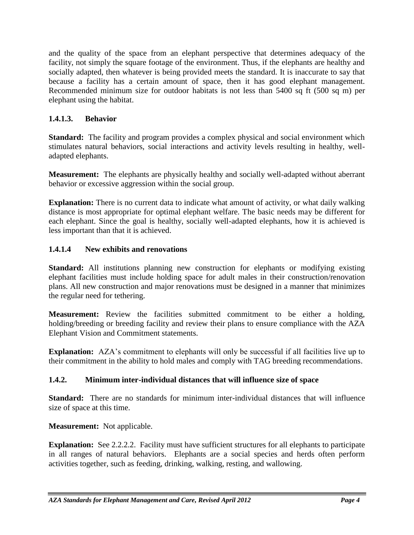and the quality of the space from an elephant perspective that determines adequacy of the facility, not simply the square footage of the environment. Thus, if the elephants are healthy and socially adapted, then whatever is being provided meets the standard. It is inaccurate to say that because a facility has a certain amount of space, then it has good elephant management. Recommended minimum size for outdoor habitats is not less than 5400 sq ft (500 sq m) per elephant using the habitat.

## **1.4.1.3. Behavior**

**Standard:** The facility and program provides a complex physical and social environment which stimulates natural behaviors, social interactions and activity levels resulting in healthy, welladapted elephants.

**Measurement:** The elephants are physically healthy and socially well-adapted without aberrant behavior or excessive aggression within the social group.

**Explanation:** There is no current data to indicate what amount of activity, or what daily walking distance is most appropriate for optimal elephant welfare. The basic needs may be different for each elephant. Since the goal is healthy, socially well-adapted elephants, how it is achieved is less important than that it is achieved.

# **1.4.1.4 New exhibits and renovations**

**Standard:** All institutions planning new construction for elephants or modifying existing elephant facilities must include holding space for adult males in their construction/renovation plans. All new construction and major renovations must be designed in a manner that minimizes the regular need for tethering.

**Measurement:** Review the facilities submitted commitment to be either a holding, holding/breeding or breeding facility and review their plans to ensure compliance with the AZA Elephant Vision and Commitment statements.

**Explanation:** AZA's commitment to elephants will only be successful if all facilities live up to their commitment in the ability to hold males and comply with TAG breeding recommendations.

## **1.4.2. Minimum inter-individual distances that will influence size of space**

**Standard:** There are no standards for minimum inter-individual distances that will influence size of space at this time.

## **Measurement:** Not applicable.

**Explanation:** See 2.2.2.2. Facility must have sufficient structures for all elephants to participate in all ranges of natural behaviors. Elephants are a social species and herds often perform activities together, such as feeding, drinking, walking, resting, and wallowing.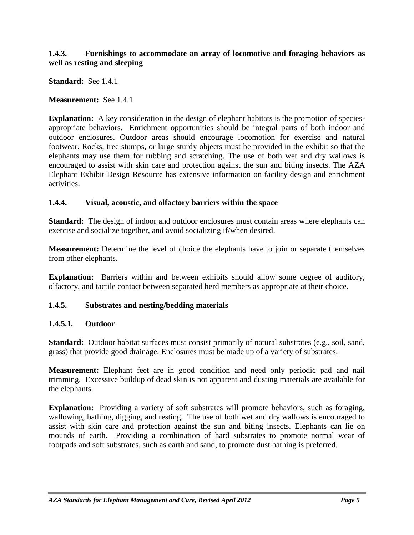### **1.4.3. Furnishings to accommodate an array of locomotive and foraging behaviors as well as resting and sleeping**

**Standard:** See 1.4.1

**Measurement:** See 1.4.1

**Explanation:** A key consideration in the design of elephant habitats is the promotion of speciesappropriate behaviors. Enrichment opportunities should be integral parts of both indoor and outdoor enclosures. Outdoor areas should encourage locomotion for exercise and natural footwear. Rocks, tree stumps, or large sturdy objects must be provided in the exhibit so that the elephants may use them for rubbing and scratching. The use of both wet and dry wallows is encouraged to assist with skin care and protection against the sun and biting insects. The AZA Elephant Exhibit Design Resource has extensive information on facility design and enrichment activities.

#### **1.4.4. Visual, acoustic, and olfactory barriers within the space**

**Standard:** The design of indoor and outdoor enclosures must contain areas where elephants can exercise and socialize together, and avoid socializing if/when desired.

**Measurement:** Determine the level of choice the elephants have to join or separate themselves from other elephants.

**Explanation:** Barriers within and between exhibits should allow some degree of auditory, olfactory, and tactile contact between separated herd members as appropriate at their choice.

### **1.4.5. Substrates and nesting/bedding materials**

#### **1.4.5.1. Outdoor**

**Standard:** Outdoor habitat surfaces must consist primarily of natural substrates (e.g., soil, sand, grass) that provide good drainage. Enclosures must be made up of a variety of substrates.

**Measurement:** Elephant feet are in good condition and need only periodic pad and nail trimming. Excessive buildup of dead skin is not apparent and dusting materials are available for the elephants.

**Explanation:** Providing a variety of soft substrates will promote behaviors, such as foraging, wallowing, bathing, digging, and resting. The use of both wet and dry wallows is encouraged to assist with skin care and protection against the sun and biting insects. Elephants can lie on mounds of earth. Providing a combination of hard substrates to promote normal wear of footpads and soft substrates, such as earth and sand, to promote dust bathing is preferred.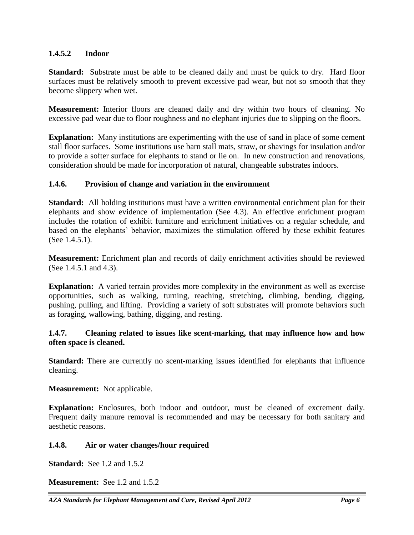### **1.4.5.2 Indoor**

**Standard:** Substrate must be able to be cleaned daily and must be quick to dry. Hard floor surfaces must be relatively smooth to prevent excessive pad wear, but not so smooth that they become slippery when wet.

**Measurement:** Interior floors are cleaned daily and dry within two hours of cleaning. No excessive pad wear due to floor roughness and no elephant injuries due to slipping on the floors.

**Explanation:** Many institutions are experimenting with the use of sand in place of some cement stall floor surfaces. Some institutions use barn stall mats, straw, or shavings for insulation and/or to provide a softer surface for elephants to stand or lie on. In new construction and renovations, consideration should be made for incorporation of natural, changeable substrates indoors.

### **1.4.6. Provision of change and variation in the environment**

**Standard:** All holding institutions must have a written environmental enrichment plan for their elephants and show evidence of implementation (See 4.3). An effective enrichment program includes the rotation of exhibit furniture and enrichment initiatives on a regular schedule, and based on the elephants' behavior, maximizes the stimulation offered by these exhibit features (See 1.4.5.1).

**Measurement:** Enrichment plan and records of daily enrichment activities should be reviewed (See 1.4.5.1 and 4.3).

**Explanation:** A varied terrain provides more complexity in the environment as well as exercise opportunities, such as walking, turning, reaching, stretching, climbing, bending, digging, pushing, pulling, and lifting. Providing a variety of soft substrates will promote behaviors such as foraging, wallowing, bathing, digging, and resting.

### **1.4.7. Cleaning related to issues like scent-marking, that may influence how and how often space is cleaned.**

**Standard:** There are currently no scent-marking issues identified for elephants that influence cleaning.

**Measurement:** Not applicable.

**Explanation:** Enclosures, both indoor and outdoor, must be cleaned of excrement daily. Frequent daily manure removal is recommended and may be necessary for both sanitary and aesthetic reasons.

### **1.4.8. Air or water changes/hour required**

**Standard:** See 1.2 and 1.5.2

**Measurement:** See 1.2 and 1.5.2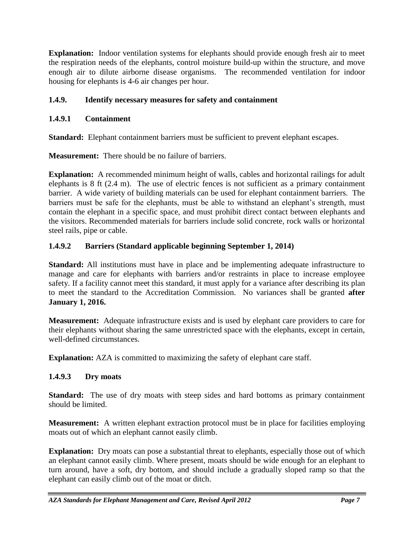**Explanation:** Indoor ventilation systems for elephants should provide enough fresh air to meet the respiration needs of the elephants, control moisture build-up within the structure, and move enough air to dilute airborne disease organisms. The recommended ventilation for indoor housing for elephants is 4-6 air changes per hour.

# **1.4.9. Identify necessary measures for safety and containment**

## **1.4.9.1 Containment**

**Standard:** Elephant containment barriers must be sufficient to prevent elephant escapes.

**Measurement:** There should be no failure of barriers.

**Explanation:** A recommended minimum height of walls, cables and horizontal railings for adult elephants is 8 ft (2.4 m). The use of electric fences is not sufficient as a primary containment barrier. A wide variety of building materials can be used for elephant containment barriers. The barriers must be safe for the elephants, must be able to withstand an elephant's strength, must contain the elephant in a specific space, and must prohibit direct contact between elephants and the visitors. Recommended materials for barriers include solid concrete, rock walls or horizontal steel rails, pipe or cable.

## **1.4.9.2 Barriers (Standard applicable beginning September 1, 2014)**

**Standard:** All institutions must have in place and be implementing adequate infrastructure to manage and care for elephants with barriers and/or restraints in place to increase employee safety. If a facility cannot meet this standard, it must apply for a variance after describing its plan to meet the standard to the Accreditation Commission. No variances shall be granted **after January 1, 2016.**

**Measurement:** Adequate infrastructure exists and is used by elephant care providers to care for their elephants without sharing the same unrestricted space with the elephants, except in certain, well-defined circumstances.

**Explanation:** AZA is committed to maximizing the safety of elephant care staff.

## **1.4.9.3 Dry moats**

**Standard:** The use of dry moats with steep sides and hard bottoms as primary containment should be limited.

**Measurement:** A written elephant extraction protocol must be in place for facilities employing moats out of which an elephant cannot easily climb.

**Explanation:** Dry moats can pose a substantial threat to elephants, especially those out of which an elephant cannot easily climb. Where present, moats should be wide enough for an elephant to turn around, have a soft, dry bottom, and should include a gradually sloped ramp so that the elephant can easily climb out of the moat or ditch.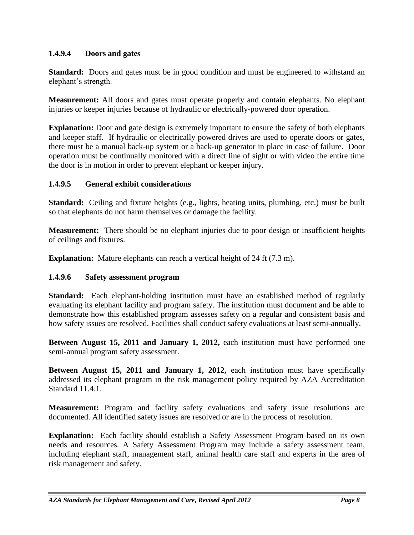## **1.4.9.4 Doors and gates**

**Standard:** Doors and gates must be in good condition and must be engineered to withstand an elephant's strength.

**Measurement:** All doors and gates must operate properly and contain elephants. No elephant injuries or keeper injuries because of hydraulic or electrically-powered door operation.

**Explanation:** Door and gate design is extremely important to ensure the safety of both elephants and keeper staff. If hydraulic or electrically powered drives are used to operate doors or gates, there must be a manual back-up system or a back-up generator in place in case of failure. Door operation must be continually monitored with a direct line of sight or with video the entire time the door is in motion in order to prevent elephant or keeper injury.

## **1.4.9.5 General exhibit considerations**

**Standard:** Ceiling and fixture heights (e.g., lights, heating units, plumbing, etc.) must be built so that elephants do not harm themselves or damage the facility.

**Measurement:** There should be no elephant injuries due to poor design or insufficient heights of ceilings and fixtures.

**Explanation:** Mature elephants can reach a vertical height of 24 ft (7.3 m).

## **1.4.9.6 Safety assessment program**

**Standard:** Each elephant-holding institution must have an established method of regularly evaluating its elephant facility and program safety. The institution must document and be able to demonstrate how this established program assesses safety on a regular and consistent basis and how safety issues are resolved. Facilities shall conduct safety evaluations at least semi-annually.

**Between August 15, 2011 and January 1, 2012,** each institution must have performed one semi-annual program safety assessment.

**Between August 15, 2011 and January 1, 2012,** each institution must have specifically addressed its elephant program in the risk management policy required by AZA Accreditation Standard 11.4.1.

**Measurement:** Program and facility safety evaluations and safety issue resolutions are documented. All identified safety issues are resolved or are in the process of resolution.

**Explanation:** Each facility should establish a Safety Assessment Program based on its own needs and resources. A Safety Assessment Program may include a safety assessment team, including elephant staff, management staff, animal health care staff and experts in the area of risk management and safety.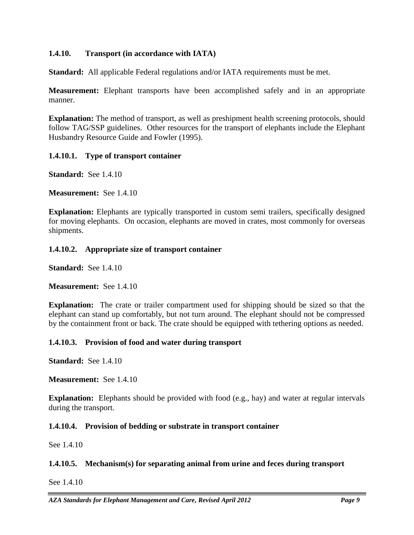### **1.4.10. Transport (in accordance with IATA)**

**Standard:** All applicable Federal regulations and/or IATA requirements must be met.

**Measurement:** Elephant transports have been accomplished safely and in an appropriate manner.

**Explanation:** The method of transport, as well as preshipment health screening protocols, should follow TAG/SSP guidelines. Other resources for the transport of elephants include the Elephant Husbandry Resource Guide and Fowler (1995).

### **1.4.10.1. Type of transport container**

**Standard:** See 1.4.10

**Measurement:** See 1.4.10

**Explanation:** Elephants are typically transported in custom semi trailers, specifically designed for moving elephants. On occasion, elephants are moved in crates, most commonly for overseas shipments.

## **1.4.10.2. Appropriate size of transport container**

**Standard:** See 1.4.10

**Measurement:** See 1.4.10

**Explanation:** The crate or trailer compartment used for shipping should be sized so that the elephant can stand up comfortably, but not turn around. The elephant should not be compressed by the containment front or back. The crate should be equipped with tethering options as needed.

### **1.4.10.3. Provision of food and water during transport**

**Standard:** See 1.4.10

**Measurement:** See 1.4.10

**Explanation:** Elephants should be provided with food (e.g., hay) and water at regular intervals during the transport.

### **1.4.10.4. Provision of bedding or substrate in transport container**

See 1.4.10

## **1.4.10.5. Mechanism(s) for separating animal from urine and feces during transport**

See 1.4.10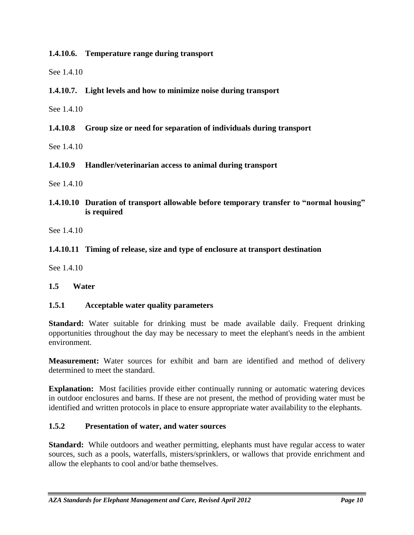**1.4.10.6. Temperature range during transport**

See 1.4.10

**1.4.10.7. Light levels and how to minimize noise during transport**

See 1.4.10

**1.4.10.8 Group size or need for separation of individuals during transport**

See 1.4.10

**1.4.10.9 Handler/veterinarian access to animal during transport**

See 1.4.10

**1.4.10.10 Duration of transport allowable before temporary transfer to "normal housing" is required**

See 1.4.10

## **1.4.10.11 Timing of release, size and type of enclosure at transport destination**

See 1.4.10

### **1.5 Water**

### **1.5.1 Acceptable water quality parameters**

**Standard:** Water suitable for drinking must be made available daily. Frequent drinking opportunities throughout the day may be necessary to meet the elephant's needs in the ambient environment.

**Measurement:** Water sources for exhibit and barn are identified and method of delivery determined to meet the standard.

**Explanation:** Most facilities provide either continually running or automatic watering devices in outdoor enclosures and barns. If these are not present, the method of providing water must be identified and written protocols in place to ensure appropriate water availability to the elephants.

### **1.5.2 Presentation of water, and water sources**

**Standard:** While outdoors and weather permitting, elephants must have regular access to water sources, such as a pools, waterfalls, misters/sprinklers, or wallows that provide enrichment and allow the elephants to cool and/or bathe themselves.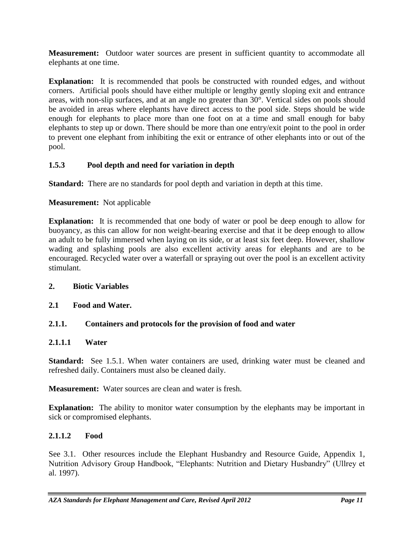**Measurement:** Outdoor water sources are present in sufficient quantity to accommodate all elephants at one time.

**Explanation:** It is recommended that pools be constructed with rounded edges, and without corners. Artificial pools should have either multiple or lengthy gently sloping exit and entrance areas, with non-slip surfaces, and at an angle no greater than 30°. Vertical sides on pools should be avoided in areas where elephants have direct access to the pool side. Steps should be wide enough for elephants to place more than one foot on at a time and small enough for baby elephants to step up or down. There should be more than one entry/exit point to the pool in order to prevent one elephant from inhibiting the exit or entrance of other elephants into or out of the pool.

# **1.5.3 Pool depth and need for variation in depth**

**Standard:** There are no standards for pool depth and variation in depth at this time.

# **Measurement:** Not applicable

**Explanation:** It is recommended that one body of water or pool be deep enough to allow for buoyancy, as this can allow for non weight-bearing exercise and that it be deep enough to allow an adult to be fully immersed when laying on its side, or at least six feet deep. However, shallow wading and splashing pools are also excellent activity areas for elephants and are to be encouraged. Recycled water over a waterfall or spraying out over the pool is an excellent activity stimulant.

## **2. Biotic Variables**

## **2.1 Food and Water.**

# **2.1.1. Containers and protocols for the provision of food and water**

## **2.1.1.1 Water**

**Standard:** See 1.5.1. When water containers are used, drinking water must be cleaned and refreshed daily. Containers must also be cleaned daily.

**Measurement:** Water sources are clean and water is fresh.

**Explanation:** The ability to monitor water consumption by the elephants may be important in sick or compromised elephants.

# **2.1.1.2 Food**

See 3.1. Other resources include the Elephant Husbandry and Resource Guide, Appendix 1, Nutrition Advisory Group Handbook, "Elephants: Nutrition and Dietary Husbandry" (Ullrey et al. 1997).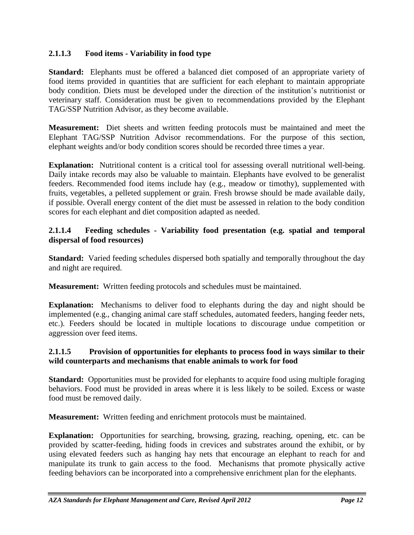## **2.1.1.3 Food items - Variability in food type**

**Standard:** Elephants must be offered a balanced diet composed of an appropriate variety of food items provided in quantities that are sufficient for each elephant to maintain appropriate body condition. Diets must be developed under the direction of the institution's nutritionist or veterinary staff. Consideration must be given to recommendations provided by the Elephant TAG/SSP Nutrition Advisor, as they become available.

**Measurement:** Diet sheets and written feeding protocols must be maintained and meet the Elephant TAG/SSP Nutrition Advisor recommendations. For the purpose of this section, elephant weights and/or body condition scores should be recorded three times a year.

**Explanation:** Nutritional content is a critical tool for assessing overall nutritional well-being. Daily intake records may also be valuable to maintain. Elephants have evolved to be generalist feeders. Recommended food items include hay (e.g., meadow or timothy), supplemented with fruits, vegetables, a pelleted supplement or grain. Fresh browse should be made available daily, if possible. Overall energy content of the diet must be assessed in relation to the body condition scores for each elephant and diet composition adapted as needed.

## **2.1.1.4 Feeding schedules - Variability food presentation (e.g. spatial and temporal dispersal of food resources)**

**Standard:** Varied feeding schedules dispersed both spatially and temporally throughout the day and night are required.

**Measurement:** Written feeding protocols and schedules must be maintained.

**Explanation:** Mechanisms to deliver food to elephants during the day and night should be implemented (e.g., changing animal care staff schedules, automated feeders, hanging feeder nets, etc.). Feeders should be located in multiple locations to discourage undue competition or aggression over feed items.

#### **2.1.1.5 Provision of opportunities for elephants to process food in ways similar to their wild counterparts and mechanisms that enable animals to work for food**

**Standard:** Opportunities must be provided for elephants to acquire food using multiple foraging behaviors. Food must be provided in areas where it is less likely to be soiled. Excess or waste food must be removed daily.

**Measurement:** Written feeding and enrichment protocols must be maintained.

**Explanation:** Opportunities for searching, browsing, grazing, reaching, opening, etc. can be provided by scatter-feeding, hiding foods in crevices and substrates around the exhibit, or by using elevated feeders such as hanging hay nets that encourage an elephant to reach for and manipulate its trunk to gain access to the food. Mechanisms that promote physically active feeding behaviors can be incorporated into a comprehensive enrichment plan for the elephants.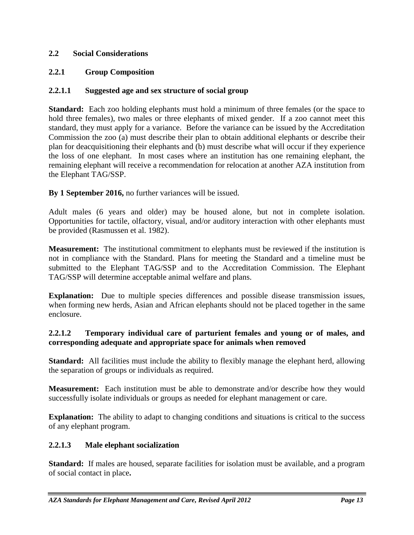## **2.2 Social Considerations**

## **2.2.1 Group Composition**

### **2.2.1.1 Suggested age and sex structure of social group**

**Standard:** Each zoo holding elephants must hold a minimum of three females (or the space to hold three females), two males or three elephants of mixed gender. If a zoo cannot meet this standard, they must apply for a variance. Before the variance can be issued by the Accreditation Commission the zoo (a) must describe their plan to obtain additional elephants or describe their plan for deacquisitioning their elephants and (b) must describe what will occur if they experience the loss of one elephant. In most cases where an institution has one remaining elephant, the remaining elephant will receive a recommendation for relocation at another AZA institution from the Elephant TAG/SSP.

**By 1 September 2016,** no further variances will be issued.

Adult males (6 years and older) may be housed alone, but not in complete isolation. Opportunities for tactile, olfactory, visual, and/or auditory interaction with other elephants must be provided (Rasmussen et al. 1982).

**Measurement:** The institutional commitment to elephants must be reviewed if the institution is not in compliance with the Standard. Plans for meeting the Standard and a timeline must be submitted to the Elephant TAG/SSP and to the Accreditation Commission. The Elephant TAG/SSP will determine acceptable animal welfare and plans.

**Explanation:** Due to multiple species differences and possible disease transmission issues, when forming new herds, Asian and African elephants should not be placed together in the same enclosure.

### **2.2.1.2 Temporary individual care of parturient females and young or of males, and corresponding adequate and appropriate space for animals when removed**

**Standard:** All facilities must include the ability to flexibly manage the elephant herd, allowing the separation of groups or individuals as required.

**Measurement:** Each institution must be able to demonstrate and/or describe how they would successfully isolate individuals or groups as needed for elephant management or care.

**Explanation:** The ability to adapt to changing conditions and situations is critical to the success of any elephant program.

### **2.2.1.3 Male elephant socialization**

**Standard:** If males are housed, separate facilities for isolation must be available, and a program of social contact in place**.**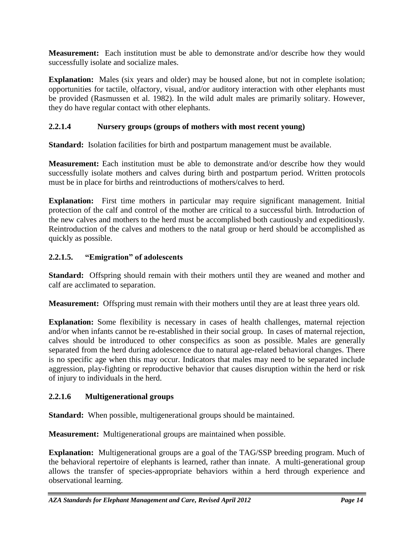**Measurement:** Each institution must be able to demonstrate and/or describe how they would successfully isolate and socialize males.

**Explanation:** Males (six years and older) may be housed alone, but not in complete isolation; opportunities for tactile, olfactory, visual, and/or auditory interaction with other elephants must be provided (Rasmussen et al. 1982). In the wild adult males are primarily solitary. However, they do have regular contact with other elephants.

# **2.2.1.4 Nursery groups (groups of mothers with most recent young)**

**Standard:** Isolation facilities for birth and postpartum management must be available.

**Measurement:** Each institution must be able to demonstrate and/or describe how they would successfully isolate mothers and calves during birth and postpartum period. Written protocols must be in place for births and reintroductions of mothers/calves to herd.

**Explanation:** First time mothers in particular may require significant management. Initial protection of the calf and control of the mother are critical to a successful birth. Introduction of the new calves and mothers to the herd must be accomplished both cautiously and expeditiously. Reintroduction of the calves and mothers to the natal group or herd should be accomplished as quickly as possible.

## **2.2.1.5. "Emigration" of adolescents**

**Standard:** Offspring should remain with their mothers until they are weaned and mother and calf are acclimated to separation.

**Measurement:** Offspring must remain with their mothers until they are at least three years old.

**Explanation:** Some flexibility is necessary in cases of health challenges, maternal rejection and/or when infants cannot be re-established in their social group. In cases of maternal rejection, calves should be introduced to other conspecifics as soon as possible. Males are generally separated from the herd during adolescence due to natural age-related behavioral changes. There is no specific age when this may occur. Indicators that males may need to be separated include aggression, play-fighting or reproductive behavior that causes disruption within the herd or risk of injury to individuals in the herd.

# **2.2.1.6 Multigenerational groups**

**Standard:** When possible, multigenerational groups should be maintained.

**Measurement:** Multigenerational groups are maintained when possible.

**Explanation:** Multigenerational groups are a goal of the TAG/SSP breeding program. Much of the behavioral repertoire of elephants is learned, rather than innate. A multi-generational group allows the transfer of species-appropriate behaviors within a herd through experience and observational learning.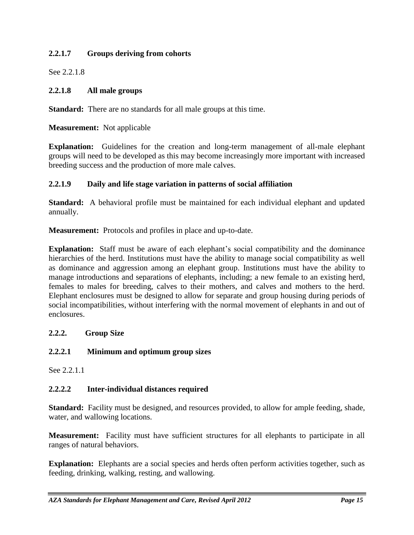## **2.2.1.7 Groups deriving from cohorts**

See 2.2.1.8

## **2.2.1.8 All male groups**

**Standard:** There are no standards for all male groups at this time.

**Measurement:** Not applicable

**Explanation:** Guidelines for the creation and long-term management of all-male elephant groups will need to be developed as this may become increasingly more important with increased breeding success and the production of more male calves.

## **2.2.1.9 Daily and life stage variation in patterns of social affiliation**

**Standard:** A behavioral profile must be maintained for each individual elephant and updated annually.

**Measurement:** Protocols and profiles in place and up-to-date.

**Explanation:** Staff must be aware of each elephant's social compatibility and the dominance hierarchies of the herd. Institutions must have the ability to manage social compatibility as well as dominance and aggression among an elephant group. Institutions must have the ability to manage introductions and separations of elephants, including; a new female to an existing herd, females to males for breeding, calves to their mothers, and calves and mothers to the herd. Elephant enclosures must be designed to allow for separate and group housing during periods of social incompatibilities, without interfering with the normal movement of elephants in and out of enclosures.

### **2.2.2. Group Size**

## **2.2.2.1 Minimum and optimum group sizes**

See 2.2.1.1

### **2.2.2.2 Inter-individual distances required**

**Standard:** Facility must be designed, and resources provided, to allow for ample feeding, shade, water, and wallowing locations.

**Measurement:** Facility must have sufficient structures for all elephants to participate in all ranges of natural behaviors.

**Explanation:** Elephants are a social species and herds often perform activities together, such as feeding, drinking, walking, resting, and wallowing.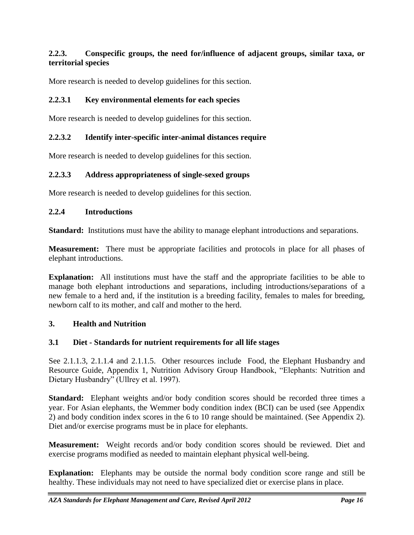## **2.2.3. Conspecific groups, the need for/influence of adjacent groups, similar taxa, or territorial species**

More research is needed to develop guidelines for this section.

## **2.2.3.1 Key environmental elements for each species**

More research is needed to develop guidelines for this section.

### **2.2.3.2 Identify inter-specific inter-animal distances require**

More research is needed to develop guidelines for this section.

#### **2.2.3.3 Address appropriateness of single-sexed groups**

More research is needed to develop guidelines for this section.

#### **2.2.4 Introductions**

**Standard:** Institutions must have the ability to manage elephant introductions and separations.

**Measurement:** There must be appropriate facilities and protocols in place for all phases of elephant introductions.

**Explanation:** All institutions must have the staff and the appropriate facilities to be able to manage both elephant introductions and separations, including introductions/separations of a new female to a herd and, if the institution is a breeding facility, females to males for breeding, newborn calf to its mother, and calf and mother to the herd.

#### **3. Health and Nutrition**

#### **3.1 Diet - Standards for nutrient requirements for all life stages**

See 2.1.1.3, 2.1.1.4 and 2.1.1.5. Other resources include Food, the Elephant Husbandry and Resource Guide, Appendix 1, Nutrition Advisory Group Handbook, "Elephants: Nutrition and Dietary Husbandry" (Ullrey et al. 1997).

**Standard:** Elephant weights and/or body condition scores should be recorded three times a year. For Asian elephants, the Wemmer body condition index (BCI) can be used (see Appendix 2) and body condition index scores in the 6 to 10 range should be maintained. (See Appendix 2). Diet and/or exercise programs must be in place for elephants.

**Measurement:** Weight records and/or body condition scores should be reviewed. Diet and exercise programs modified as needed to maintain elephant physical well-being.

**Explanation:** Elephants may be outside the normal body condition score range and still be healthy. These individuals may not need to have specialized diet or exercise plans in place.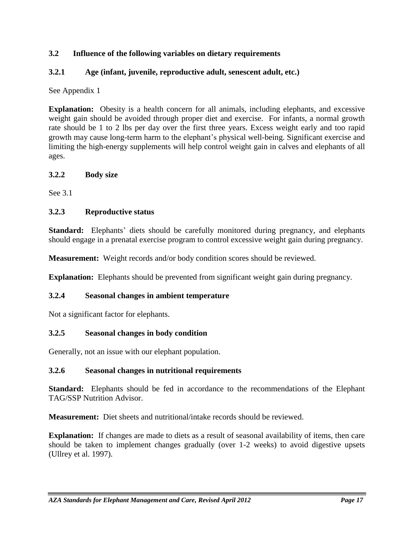## **3.2 Influence of the following variables on dietary requirements**

### **3.2.1 Age (infant, juvenile, reproductive adult, senescent adult, etc.)**

See Appendix 1

**Explanation:** Obesity is a health concern for all animals, including elephants, and excessive weight gain should be avoided through proper diet and exercise. For infants, a normal growth rate should be 1 to 2 lbs per day over the first three years. Excess weight early and too rapid growth may cause long-term harm to the elephant's physical well-being. Significant exercise and limiting the high-energy supplements will help control weight gain in calves and elephants of all ages.

#### **3.2.2 Body size**

See 3.1

### **3.2.3 Reproductive status**

**Standard:** Elephants' diets should be carefully monitored during pregnancy, and elephants should engage in a prenatal exercise program to control excessive weight gain during pregnancy.

**Measurement:** Weight records and/or body condition scores should be reviewed.

**Explanation:** Elephants should be prevented from significant weight gain during pregnancy.

### **3.2.4 Seasonal changes in ambient temperature**

Not a significant factor for elephants.

#### **3.2.5 Seasonal changes in body condition**

Generally, not an issue with our elephant population.

### **3.2.6 Seasonal changes in nutritional requirements**

**Standard:** Elephants should be fed in accordance to the recommendations of the Elephant TAG/SSP Nutrition Advisor.

**Measurement:** Diet sheets and nutritional/intake records should be reviewed.

**Explanation:** If changes are made to diets as a result of seasonal availability of items, then care should be taken to implement changes gradually (over 1-2 weeks) to avoid digestive upsets (Ullrey et al. 1997).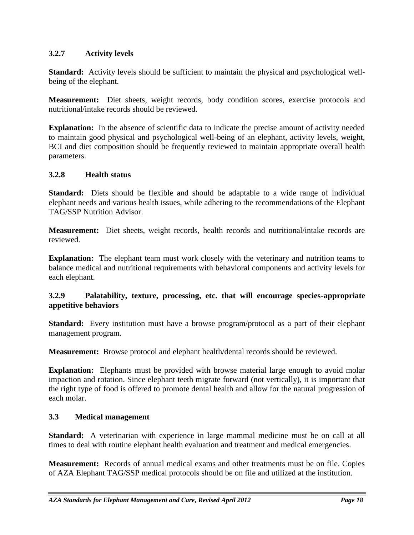## **3.2.7 Activity levels**

**Standard:** Activity levels should be sufficient to maintain the physical and psychological wellbeing of the elephant.

**Measurement:** Diet sheets, weight records, body condition scores, exercise protocols and nutritional/intake records should be reviewed.

**Explanation:** In the absence of scientific data to indicate the precise amount of activity needed to maintain good physical and psychological well-being of an elephant, activity levels, weight, BCI and diet composition should be frequently reviewed to maintain appropriate overall health parameters.

#### **3.2.8 Health status**

**Standard:** Diets should be flexible and should be adaptable to a wide range of individual elephant needs and various health issues, while adhering to the recommendations of the Elephant TAG/SSP Nutrition Advisor.

**Measurement:** Diet sheets, weight records, health records and nutritional/intake records are reviewed.

**Explanation:** The elephant team must work closely with the veterinary and nutrition teams to balance medical and nutritional requirements with behavioral components and activity levels for each elephant.

### **3.2.9 Palatability, texture, processing, etc. that will encourage species-appropriate appetitive behaviors**

**Standard:** Every institution must have a browse program/protocol as a part of their elephant management program.

**Measurement:** Browse protocol and elephant health/dental records should be reviewed.

**Explanation:** Elephants must be provided with browse material large enough to avoid molar impaction and rotation. Since elephant teeth migrate forward (not vertically), it is important that the right type of food is offered to promote dental health and allow for the natural progression of each molar.

### **3.3 Medical management**

**Standard:** A veterinarian with experience in large mammal medicine must be on call at all times to deal with routine elephant health evaluation and treatment and medical emergencies.

**Measurement:** Records of annual medical exams and other treatments must be on file. Copies of AZA Elephant TAG/SSP medical protocols should be on file and utilized at the institution.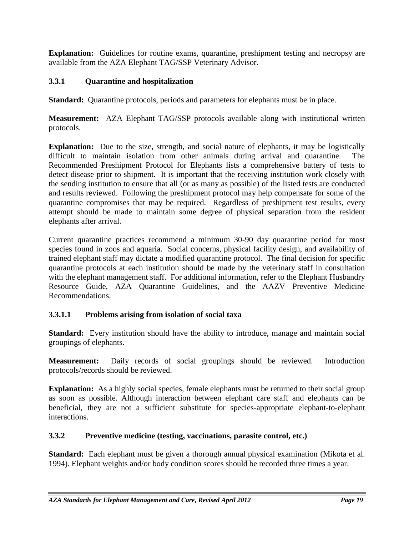**Explanation:** Guidelines for routine exams, quarantine, preshipment testing and necropsy are available from the AZA Elephant TAG/SSP Veterinary Advisor.

## **3.3.1 Quarantine and hospitalization**

**Standard:** Quarantine protocols, periods and parameters for elephants must be in place.

**Measurement:** AZA Elephant TAG/SSP protocols available along with institutional written protocols.

**Explanation:** Due to the size, strength, and social nature of elephants, it may be logistically difficult to maintain isolation from other animals during arrival and quarantine. The Recommended Preshipment Protocol for Elephants lists a comprehensive battery of tests to detect disease prior to shipment. It is important that the receiving institution work closely with the sending institution to ensure that all (or as many as possible) of the listed tests are conducted and results reviewed. Following the preshipment protocol may help compensate for some of the quarantine compromises that may be required. Regardless of preshipment test results, every attempt should be made to maintain some degree of physical separation from the resident elephants after arrival.

Current quarantine practices recommend a minimum 30-90 day quarantine period for most species found in zoos and aquaria. Social concerns, physical facility design, and availability of trained elephant staff may dictate a modified quarantine protocol. The final decision for specific quarantine protocols at each institution should be made by the veterinary staff in consultation with the elephant management staff. For additional information, refer to the Elephant Husbandry Resource Guide, AZA Quarantine Guidelines, and the AAZV Preventive Medicine Recommendations.

## **3.3.1.1 Problems arising from isolation of social taxa**

**Standard:** Every institution should have the ability to introduce, manage and maintain social groupings of elephants.

**Measurement:** Daily records of social groupings should be reviewed. Introduction protocols/records should be reviewed.

**Explanation:** As a highly social species, female elephants must be returned to their social group as soon as possible. Although interaction between elephant care staff and elephants can be beneficial, they are not a sufficient substitute for species-appropriate elephant-to-elephant interactions.

## **3.3.2 Preventive medicine (testing, vaccinations, parasite control, etc.)**

**Standard:** Each elephant must be given a thorough annual physical examination (Mikota et al. 1994). Elephant weights and/or body condition scores should be recorded three times a year.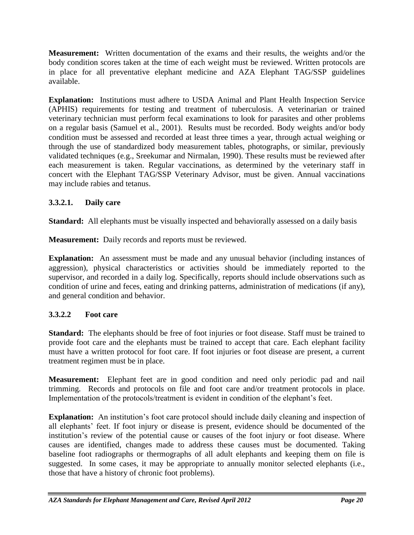**Measurement:** Written documentation of the exams and their results, the weights and/or the body condition scores taken at the time of each weight must be reviewed. Written protocols are in place for all preventative elephant medicine and AZA Elephant TAG/SSP guidelines available.

**Explanation:** Institutions must adhere to USDA Animal and Plant Health Inspection Service (APHIS) requirements for testing and treatment of tuberculosis. A veterinarian or trained veterinary technician must perform fecal examinations to look for parasites and other problems on a regular basis (Samuel et al., 2001). Results must be recorded. Body weights and/or body condition must be assessed and recorded at least three times a year, through actual weighing or through the use of standardized body measurement tables, photographs, or similar, previously validated techniques (e.g., Sreekumar and Nirmalan, 1990). These results must be reviewed after each measurement is taken. Regular vaccinations, as determined by the veterinary staff in concert with the Elephant TAG/SSP Veterinary Advisor, must be given. Annual vaccinations may include rabies and tetanus.

# **3.3.2.1. Daily care**

**Standard:** All elephants must be visually inspected and behaviorally assessed on a daily basis

**Measurement:** Daily records and reports must be reviewed.

**Explanation:** An assessment must be made and any unusual behavior (including instances of aggression), physical characteristics or activities should be immediately reported to the supervisor, and recorded in a daily log. Specifically, reports should include observations such as condition of urine and feces, eating and drinking patterns, administration of medications (if any), and general condition and behavior.

# **3.3.2.2 Foot care**

**Standard:** The elephants should be free of foot injuries or foot disease. Staff must be trained to provide foot care and the elephants must be trained to accept that care. Each elephant facility must have a written protocol for foot care. If foot injuries or foot disease are present, a current treatment regimen must be in place.

**Measurement:** Elephant feet are in good condition and need only periodic pad and nail trimming. Records and protocols on file and foot care and/or treatment protocols in place. Implementation of the protocols/treatment is evident in condition of the elephant's feet.

**Explanation:** An institution's foot care protocol should include daily cleaning and inspection of all elephants' feet. If foot injury or disease is present, evidence should be documented of the institution's review of the potential cause or causes of the foot injury or foot disease. Where causes are identified, changes made to address these causes must be documented. Taking baseline foot radiographs or thermographs of all adult elephants and keeping them on file is suggested. In some cases, it may be appropriate to annually monitor selected elephants (i.e., those that have a history of chronic foot problems).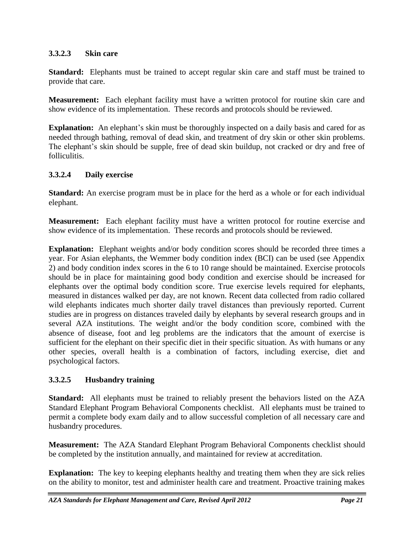## **3.3.2.3 Skin care**

**Standard:** Elephants must be trained to accept regular skin care and staff must be trained to provide that care.

**Measurement:** Each elephant facility must have a written protocol for routine skin care and show evidence of its implementation. These records and protocols should be reviewed.

**Explanation:** An elephant's skin must be thoroughly inspected on a daily basis and cared for as needed through bathing, removal of dead skin, and treatment of dry skin or other skin problems. The elephant's skin should be supple, free of dead skin buildup, not cracked or dry and free of folliculitis.

## **3.3.2.4 Daily exercise**

**Standard:** An exercise program must be in place for the herd as a whole or for each individual elephant.

**Measurement:** Each elephant facility must have a written protocol for routine exercise and show evidence of its implementation. These records and protocols should be reviewed.

**Explanation:** Elephant weights and/or body condition scores should be recorded three times a year. For Asian elephants, the Wemmer body condition index (BCI) can be used (see Appendix 2) and body condition index scores in the 6 to 10 range should be maintained. Exercise protocols should be in place for maintaining good body condition and exercise should be increased for elephants over the optimal body condition score. True exercise levels required for elephants, measured in distances walked per day, are not known. Recent data collected from radio collared wild elephants indicates much shorter daily travel distances than previously reported. Current studies are in progress on distances traveled daily by elephants by several research groups and in several AZA institutions. The weight and/or the body condition score, combined with the absence of disease, foot and leg problems are the indicators that the amount of exercise is sufficient for the elephant on their specific diet in their specific situation. As with humans or any other species, overall health is a combination of factors, including exercise, diet and psychological factors.

## **3.3.2.5 Husbandry training**

**Standard:** All elephants must be trained to reliably present the behaviors listed on the AZA Standard Elephant Program Behavioral Components checklist. All elephants must be trained to permit a complete body exam daily and to allow successful completion of all necessary care and husbandry procedures.

**Measurement:** The AZA Standard Elephant Program Behavioral Components checklist should be completed by the institution annually, and maintained for review at accreditation.

**Explanation:** The key to keeping elephants healthy and treating them when they are sick relies on the ability to monitor, test and administer health care and treatment. Proactive training makes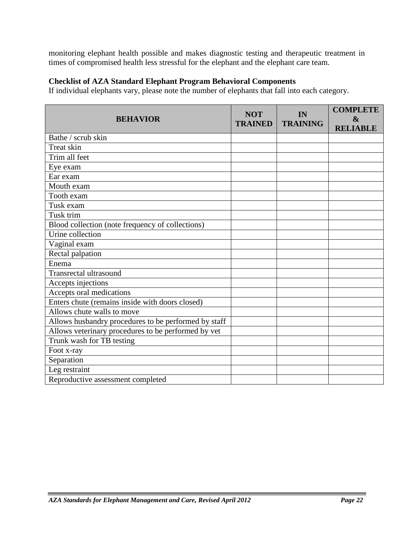monitoring elephant health possible and makes diagnostic testing and therapeutic treatment in times of compromised health less stressful for the elephant and the elephant care team.

### **Checklist of AZA Standard Elephant Program Behavioral Components**

If individual elephants vary, please note the number of elephants that fall into each category.

| <b>BEHAVIOR</b>                                      | <b>NOT</b><br><b>TRAINED</b> | IN<br><b>TRAINING</b> | <b>COMPLETE</b><br>$\boldsymbol{\&}$<br><b>RELIABLE</b> |
|------------------------------------------------------|------------------------------|-----------------------|---------------------------------------------------------|
| Bathe / scrub skin                                   |                              |                       |                                                         |
| Treat skin                                           |                              |                       |                                                         |
| Trim all feet                                        |                              |                       |                                                         |
| Eye exam                                             |                              |                       |                                                         |
| Ear exam                                             |                              |                       |                                                         |
| Mouth exam                                           |                              |                       |                                                         |
| Tooth exam                                           |                              |                       |                                                         |
| Tusk exam                                            |                              |                       |                                                         |
| Tusk trim                                            |                              |                       |                                                         |
| Blood collection (note frequency of collections)     |                              |                       |                                                         |
| Urine collection                                     |                              |                       |                                                         |
| Vaginal exam                                         |                              |                       |                                                         |
| Rectal palpation                                     |                              |                       |                                                         |
| Enema                                                |                              |                       |                                                         |
| <b>Transrectal ultrasound</b>                        |                              |                       |                                                         |
| Accepts injections                                   |                              |                       |                                                         |
| Accepts oral medications                             |                              |                       |                                                         |
| Enters chute (remains inside with doors closed)      |                              |                       |                                                         |
| Allows chute walls to move                           |                              |                       |                                                         |
| Allows husbandry procedures to be performed by staff |                              |                       |                                                         |
| Allows veterinary procedures to be performed by vet  |                              |                       |                                                         |
| Trunk wash for TB testing                            |                              |                       |                                                         |
| Foot x-ray                                           |                              |                       |                                                         |
| Separation                                           |                              |                       |                                                         |
| Leg restraint                                        |                              |                       |                                                         |
| Reproductive assessment completed                    |                              |                       |                                                         |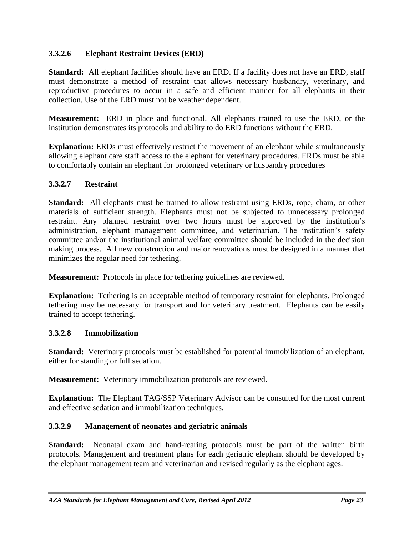## **3.3.2.6 Elephant Restraint Devices (ERD)**

**Standard:** All elephant facilities should have an ERD. If a facility does not have an ERD, staff must demonstrate a method of restraint that allows necessary husbandry, veterinary, and reproductive procedures to occur in a safe and efficient manner for all elephants in their collection. Use of the ERD must not be weather dependent.

**Measurement:** ERD in place and functional. All elephants trained to use the ERD, or the institution demonstrates its protocols and ability to do ERD functions without the ERD.

**Explanation:** ERDs must effectively restrict the movement of an elephant while simultaneously allowing elephant care staff access to the elephant for veterinary procedures. ERDs must be able to comfortably contain an elephant for prolonged veterinary or husbandry procedures

## **3.3.2.7 Restraint**

**Standard:** All elephants must be trained to allow restraint using ERDs, rope, chain, or other materials of sufficient strength. Elephants must not be subjected to unnecessary prolonged restraint. Any planned restraint over two hours must be approved by the institution's administration, elephant management committee, and veterinarian. The institution's safety committee and/or the institutional animal welfare committee should be included in the decision making process. All new construction and major renovations must be designed in a manner that minimizes the regular need for tethering.

**Measurement:** Protocols in place for tethering guidelines are reviewed.

**Explanation:** Tethering is an acceptable method of temporary restraint for elephants. Prolonged tethering may be necessary for transport and for veterinary treatment. Elephants can be easily trained to accept tethering.

### **3.3.2.8 Immobilization**

**Standard:** Veterinary protocols must be established for potential immobilization of an elephant, either for standing or full sedation.

**Measurement:** Veterinary immobilization protocols are reviewed.

**Explanation:** The Elephant TAG/SSP Veterinary Advisor can be consulted for the most current and effective sedation and immobilization techniques.

## **3.3.2.9 Management of neonates and geriatric animals**

**Standard:** Neonatal exam and hand-rearing protocols must be part of the written birth protocols. Management and treatment plans for each geriatric elephant should be developed by the elephant management team and veterinarian and revised regularly as the elephant ages.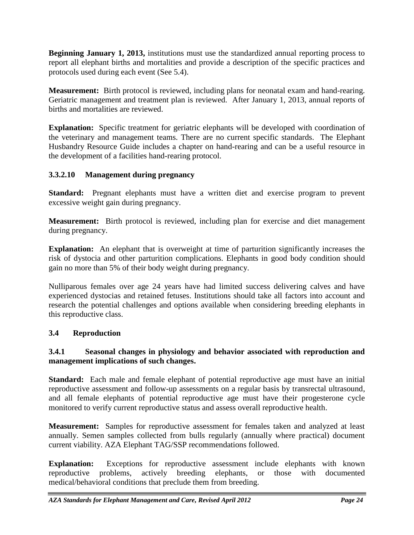**Beginning January 1, 2013,** institutions must use the standardized annual reporting process to report all elephant births and mortalities and provide a description of the specific practices and protocols used during each event (See 5.4).

**Measurement:** Birth protocol is reviewed, including plans for neonatal exam and hand-rearing. Geriatric management and treatment plan is reviewed. After January 1, 2013, annual reports of births and mortalities are reviewed.

**Explanation:** Specific treatment for geriatric elephants will be developed with coordination of the veterinary and management teams. There are no current specific standards. The Elephant Husbandry Resource Guide includes a chapter on hand-rearing and can be a useful resource in the development of a facilities hand-rearing protocol.

# **3.3.2.10 Management during pregnancy**

**Standard:** Pregnant elephants must have a written diet and exercise program to prevent excessive weight gain during pregnancy.

**Measurement:** Birth protocol is reviewed, including plan for exercise and diet management during pregnancy.

**Explanation:** An elephant that is overweight at time of parturition significantly increases the risk of dystocia and other parturition complications. Elephants in good body condition should gain no more than 5% of their body weight during pregnancy.

Nulliparous females over age 24 years have had limited success delivering calves and have experienced dystocias and retained fetuses. Institutions should take all factors into account and research the potential challenges and options available when considering breeding elephants in this reproductive class.

# **3.4 Reproduction**

## **3.4.1 Seasonal changes in physiology and behavior associated with reproduction and management implications of such changes.**

**Standard:** Each male and female elephant of potential reproductive age must have an initial reproductive assessment and follow-up assessments on a regular basis by transrectal ultrasound, and all female elephants of potential reproductive age must have their progesterone cycle monitored to verify current reproductive status and assess overall reproductive health.

**Measurement:** Samples for reproductive assessment for females taken and analyzed at least annually. Semen samples collected from bulls regularly (annually where practical) document current viability. AZA Elephant TAG/SSP recommendations followed.

**Explanation:** Exceptions for reproductive assessment include elephants with known reproductive problems, actively breeding elephants, or those with documented medical/behavioral conditions that preclude them from breeding.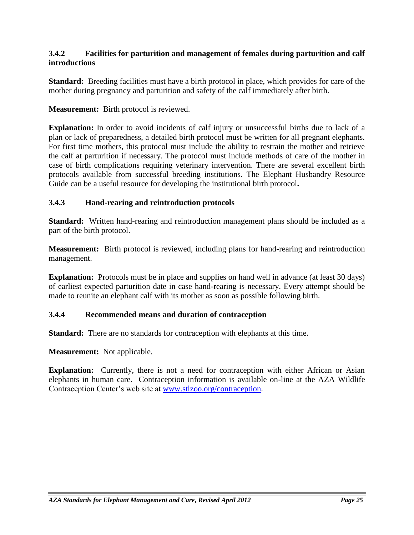### **3.4.2 Facilities for parturition and management of females during parturition and calf introductions**

**Standard:** Breeding facilities must have a birth protocol in place, which provides for care of the mother during pregnancy and parturition and safety of the calf immediately after birth.

**Measurement:** Birth protocol is reviewed.

**Explanation:** In order to avoid incidents of calf injury or unsuccessful births due to lack of a plan or lack of preparedness, a detailed birth protocol must be written for all pregnant elephants. For first time mothers, this protocol must include the ability to restrain the mother and retrieve the calf at parturition if necessary. The protocol must include methods of care of the mother in case of birth complications requiring veterinary intervention. There are several excellent birth protocols available from successful breeding institutions. The Elephant Husbandry Resource Guide can be a useful resource for developing the institutional birth protocol**.** 

### **3.4.3 Hand-rearing and reintroduction protocols**

**Standard:** Written hand-rearing and reintroduction management plans should be included as a part of the birth protocol.

**Measurement:** Birth protocol is reviewed, including plans for hand-rearing and reintroduction management.

**Explanation:** Protocols must be in place and supplies on hand well in advance (at least 30 days) of earliest expected parturition date in case hand-rearing is necessary. Every attempt should be made to reunite an elephant calf with its mother as soon as possible following birth.

#### **3.4.4 Recommended means and duration of contraception**

**Standard:** There are no standards for contraception with elephants at this time.

**Measurement:** Not applicable.

**Explanation:** Currently, there is not a need for contraception with either African or Asian elephants in human care. Contraception information is available on-line at the AZA Wildlife Contraception Center's web site at [www.stlzoo.org/contraception.](http://www.stlzoo.org/contraception)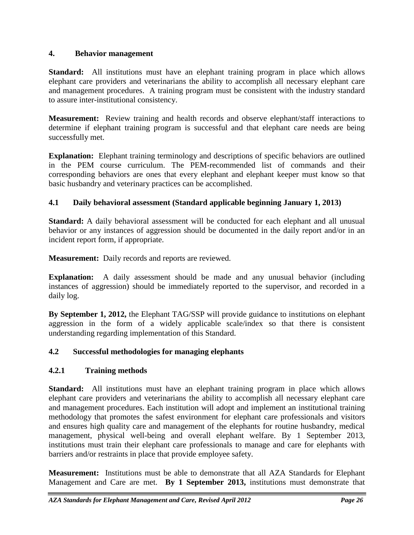### **4. Behavior management**

**Standard:** All institutions must have an elephant training program in place which allows elephant care providers and veterinarians the ability to accomplish all necessary elephant care and management procedures. A training program must be consistent with the industry standard to assure inter-institutional consistency.

**Measurement:** Review training and health records and observe elephant/staff interactions to determine if elephant training program is successful and that elephant care needs are being successfully met.

**Explanation:** Elephant training terminology and descriptions of specific behaviors are outlined in the PEM course curriculum. The PEM-recommended list of commands and their corresponding behaviors are ones that every elephant and elephant keeper must know so that basic husbandry and veterinary practices can be accomplished.

# **4.1 Daily behavioral assessment (Standard applicable beginning January 1, 2013)**

**Standard:** A daily behavioral assessment will be conducted for each elephant and all unusual behavior or any instances of aggression should be documented in the daily report and/or in an incident report form, if appropriate.

**Measurement:** Daily records and reports are reviewed.

**Explanation:** A daily assessment should be made and any unusual behavior (including instances of aggression) should be immediately reported to the supervisor, and recorded in a daily log.

**By September 1, 2012,** the Elephant TAG/SSP will provide guidance to institutions on elephant aggression in the form of a widely applicable scale/index so that there is consistent understanding regarding implementation of this Standard.

## **4.2 Successful methodologies for managing elephants**

## **4.2.1 Training methods**

**Standard:** All institutions must have an elephant training program in place which allows elephant care providers and veterinarians the ability to accomplish all necessary elephant care and management procedures. Each institution will adopt and implement an institutional training methodology that promotes the safest environment for elephant care professionals and visitors and ensures high quality care and management of the elephants for routine husbandry, medical management, physical well-being and overall elephant welfare. By 1 September 2013, institutions must train their elephant care professionals to manage and care for elephants with barriers and/or restraints in place that provide employee safety.

**Measurement:** Institutions must be able to demonstrate that all AZA Standards for Elephant Management and Care are met. **By 1 September 2013,** institutions must demonstrate that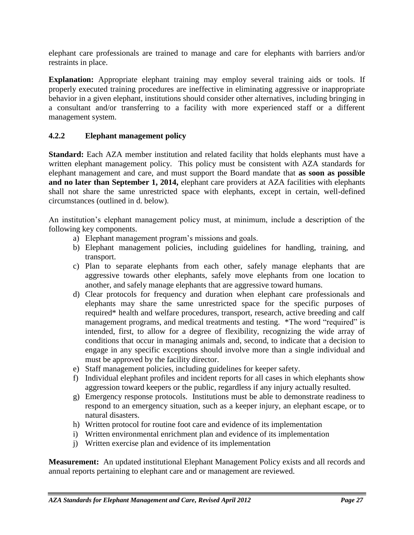elephant care professionals are trained to manage and care for elephants with barriers and/or restraints in place.

**Explanation:** Appropriate elephant training may employ several training aids or tools. If properly executed training procedures are ineffective in eliminating aggressive or inappropriate behavior in a given elephant, institutions should consider other alternatives, including bringing in a consultant and/or transferring to a facility with more experienced staff or a different management system.

### **4.2.2 Elephant management policy**

**Standard:** Each AZA member institution and related facility that holds elephants must have a written elephant management policy. This policy must be consistent with AZA standards for elephant management and care, and must support the Board mandate that **as soon as possible and no later than September 1, 2014,** elephant care providers at AZA facilities with elephants shall not share the same unrestricted space with elephants, except in certain, well-defined circumstances (outlined in d. below).

An institution's elephant management policy must, at minimum, include a description of the following key components.

- a) Elephant management program's missions and goals.
- b) Elephant management policies, including guidelines for handling, training, and transport.
- c) Plan to separate elephants from each other, safely manage elephants that are aggressive towards other elephants, safely move elephants from one location to another, and safely manage elephants that are aggressive toward humans.
- d) Clear protocols for frequency and duration when elephant care professionals and elephants may share the same unrestricted space for the specific purposes of required\* health and welfare procedures, transport, research, active breeding and calf management programs, and medical treatments and testing. \*The word "required" is intended, first, to allow for a degree of flexibility, recognizing the wide array of conditions that occur in managing animals and, second, to indicate that a decision to engage in any specific exceptions should involve more than a single individual and must be approved by the facility director.
- e) Staff management policies, including guidelines for keeper safety.
- f) Individual elephant profiles and incident reports for all cases in which elephants show aggression toward keepers or the public, regardless if any injury actually resulted.
- g) Emergency response protocols. Institutions must be able to demonstrate readiness to respond to an emergency situation, such as a keeper injury, an elephant escape, or to natural disasters.
- h) Written protocol for routine foot care and evidence of its implementation
- i) Written environmental enrichment plan and evidence of its implementation
- j) Written exercise plan and evidence of its implementation

**Measurement:** An updated institutional Elephant Management Policy exists and all records and annual reports pertaining to elephant care and or management are reviewed.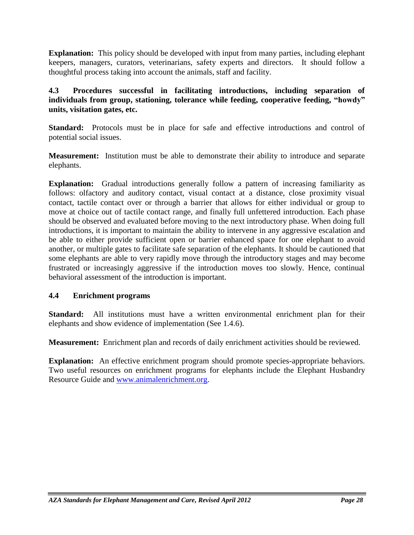**Explanation:** This policy should be developed with input from many parties, including elephant keepers, managers, curators, veterinarians, safety experts and directors. It should follow a thoughtful process taking into account the animals, staff and facility.

## **4.3 Procedures successful in facilitating introductions, including separation of individuals from group, stationing, tolerance while feeding, cooperative feeding, "howdy" units, visitation gates, etc.**

**Standard:** Protocols must be in place for safe and effective introductions and control of potential social issues.

**Measurement:** Institution must be able to demonstrate their ability to introduce and separate elephants.

**Explanation:** Gradual introductions generally follow a pattern of increasing familiarity as follows: olfactory and auditory contact, visual contact at a distance, close proximity visual contact, tactile contact over or through a barrier that allows for either individual or group to move at choice out of tactile contact range, and finally full unfettered introduction. Each phase should be observed and evaluated before moving to the next introductory phase. When doing full introductions, it is important to maintain the ability to intervene in any aggressive escalation and be able to either provide sufficient open or barrier enhanced space for one elephant to avoid another, or multiple gates to facilitate safe separation of the elephants. It should be cautioned that some elephants are able to very rapidly move through the introductory stages and may become frustrated or increasingly aggressive if the introduction moves too slowly. Hence, continual behavioral assessment of the introduction is important.

## **4.4 Enrichment programs**

**Standard:** All institutions must have a written environmental enrichment plan for their elephants and show evidence of implementation (See 1.4.6).

**Measurement:** Enrichment plan and records of daily enrichment activities should be reviewed.

**Explanation:** An effective enrichment program should promote species-appropriate behaviors. Two useful resources on enrichment programs for elephants include the Elephant Husbandry Resource Guide and [www.animalenrichment.org.](http://www.animalenrichment.org/)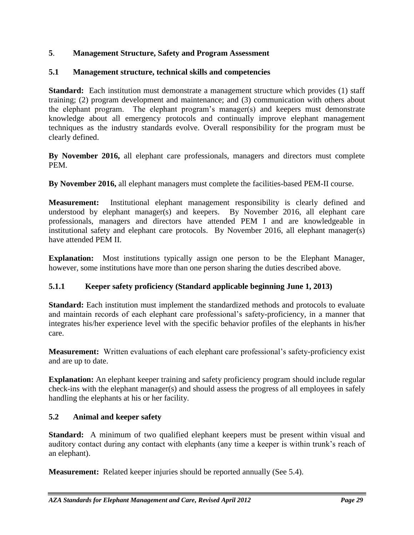## **5**. **Management Structure, Safety and Program Assessment**

## **5.1 Management structure, technical skills and competencies**

**Standard:** Each institution must demonstrate a management structure which provides (1) staff training; (2) program development and maintenance; and (3) communication with others about the elephant program. The elephant program's manager(s) and keepers must demonstrate knowledge about all emergency protocols and continually improve elephant management techniques as the industry standards evolve. Overall responsibility for the program must be clearly defined.

**By November 2016,** all elephant care professionals, managers and directors must complete PEM.

**By November 2016,** all elephant managers must complete the facilities-based PEM-II course.

**Measurement:** Institutional elephant management responsibility is clearly defined and understood by elephant manager(s) and keepers. By November 2016, all elephant care professionals, managers and directors have attended PEM I and are knowledgeable in institutional safety and elephant care protocols. By November 2016, all elephant manager(s) have attended PEM II.

**Explanation:** Most institutions typically assign one person to be the Elephant Manager, however, some institutions have more than one person sharing the duties described above.

## **5.1.1 Keeper safety proficiency (Standard applicable beginning June 1, 2013)**

**Standard:** Each institution must implement the standardized methods and protocols to evaluate and maintain records of each elephant care professional's safety-proficiency, in a manner that integrates his/her experience level with the specific behavior profiles of the elephants in his/her care.

**Measurement:** Written evaluations of each elephant care professional's safety-proficiency exist and are up to date.

**Explanation:** An elephant keeper training and safety proficiency program should include regular check-ins with the elephant manager(s) and should assess the progress of all employees in safely handling the elephants at his or her facility.

### **5.2 Animal and keeper safety**

**Standard:** A minimum of two qualified elephant keepers must be present within visual and auditory contact during any contact with elephants (any time a keeper is within trunk's reach of an elephant).

**Measurement:** Related keeper injuries should be reported annually (See 5.4).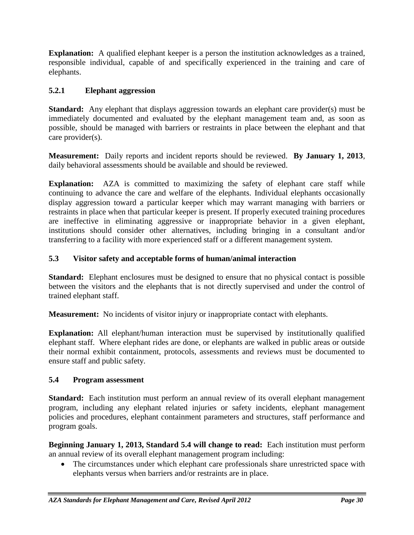**Explanation:** A qualified elephant keeper is a person the institution acknowledges as a trained, responsible individual, capable of and specifically experienced in the training and care of elephants.

# **5.2.1 Elephant aggression**

**Standard:** Any elephant that displays aggression towards an elephant care provider(s) must be immediately documented and evaluated by the elephant management team and, as soon as possible, should be managed with barriers or restraints in place between the elephant and that care provider(s).

**Measurement:** Daily reports and incident reports should be reviewed. **By January 1, 2013**, daily behavioral assessments should be available and should be reviewed.

**Explanation:** AZA is committed to maximizing the safety of elephant care staff while continuing to advance the care and welfare of the elephants. Individual elephants occasionally display aggression toward a particular keeper which may warrant managing with barriers or restraints in place when that particular keeper is present. If properly executed training procedures are ineffective in eliminating aggressive or inappropriate behavior in a given elephant, institutions should consider other alternatives, including bringing in a consultant and/or transferring to a facility with more experienced staff or a different management system.

# **5.3 Visitor safety and acceptable forms of human/animal interaction**

**Standard:** Elephant enclosures must be designed to ensure that no physical contact is possible between the visitors and the elephants that is not directly supervised and under the control of trained elephant staff.

**Measurement:** No incidents of visitor injury or inappropriate contact with elephants.

**Explanation:** All elephant/human interaction must be supervised by institutionally qualified elephant staff. Where elephant rides are done, or elephants are walked in public areas or outside their normal exhibit containment, protocols, assessments and reviews must be documented to ensure staff and public safety.

## **5.4 Program assessment**

**Standard:** Each institution must perform an annual review of its overall elephant management program, including any elephant related injuries or safety incidents, elephant management policies and procedures, elephant containment parameters and structures, staff performance and program goals.

**Beginning January 1, 2013, Standard 5.4 will change to read:** Each institution must perform an annual review of its overall elephant management program including:

• The circumstances under which elephant care professionals share unrestricted space with elephants versus when barriers and/or restraints are in place.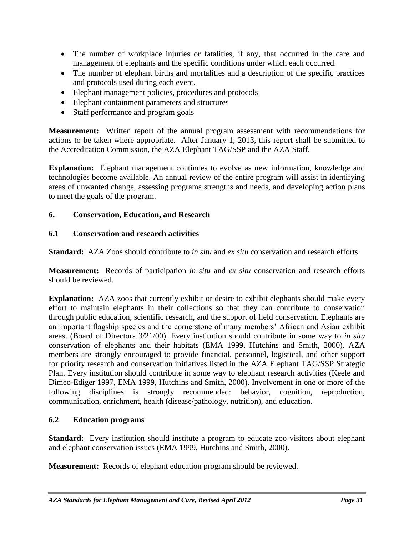- The number of workplace injuries or fatalities, if any, that occurred in the care and management of elephants and the specific conditions under which each occurred.
- The number of elephant births and mortalities and a description of the specific practices and protocols used during each event.
- Elephant management policies, procedures and protocols
- Elephant containment parameters and structures
- Staff performance and program goals

**Measurement:** Written report of the annual program assessment with recommendations for actions to be taken where appropriate. After January 1, 2013, this report shall be submitted to the Accreditation Commission, the AZA Elephant TAG/SSP and the AZA Staff.

**Explanation:** Elephant management continues to evolve as new information, knowledge and technologies become available. An annual review of the entire program will assist in identifying areas of unwanted change, assessing programs strengths and needs, and developing action plans to meet the goals of the program.

## **6. Conservation, Education, and Research**

## **6.1 Conservation and research activities**

**Standard:** AZA Zoos should contribute to *in situ* and *ex situ* conservation and research efforts.

**Measurement:** Records of participation *in situ* and *ex situ* conservation and research efforts should be reviewed.

**Explanation:** AZA zoos that currently exhibit or desire to exhibit elephants should make every effort to maintain elephants in their collections so that they can contribute to conservation through public education, scientific research, and the support of field conservation. Elephants are an important flagship species and the cornerstone of many members' African and Asian exhibit areas. (Board of Directors 3/21/00). Every institution should contribute in some way to *in situ* conservation of elephants and their habitats (EMA 1999, Hutchins and Smith, 2000). AZA members are strongly encouraged to provide financial, personnel, logistical, and other support for priority research and conservation initiatives listed in the AZA Elephant TAG/SSP Strategic Plan. Every institution should contribute in some way to elephant research activities (Keele and Dimeo-Ediger 1997, EMA 1999, Hutchins and Smith, 2000). Involvement in one or more of the following disciplines is strongly recommended: behavior, cognition, reproduction, communication, enrichment, health (disease/pathology, nutrition), and education.

## **6.2 Education programs**

**Standard:** Every institution should institute a program to educate zoo visitors about elephant and elephant conservation issues (EMA 1999, Hutchins and Smith, 2000).

**Measurement:** Records of elephant education program should be reviewed.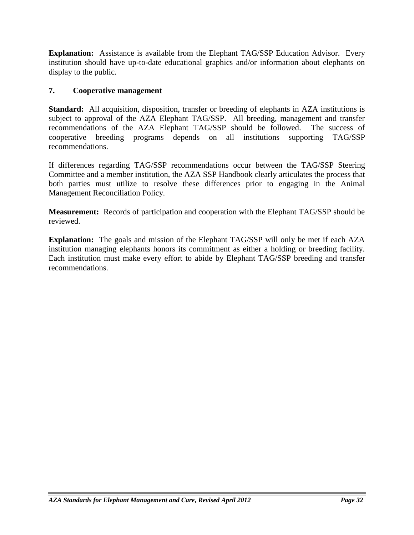**Explanation:** Assistance is available from the Elephant TAG/SSP Education Advisor. Every institution should have up-to-date educational graphics and/or information about elephants on display to the public.

## **7. Cooperative management**

**Standard:** All acquisition, disposition, transfer or breeding of elephants in AZA institutions is subject to approval of the AZA Elephant TAG/SSP. All breeding, management and transfer recommendations of the AZA Elephant TAG/SSP should be followed. The success of cooperative breeding programs depends on all institutions supporting TAG/SSP recommendations.

If differences regarding TAG/SSP recommendations occur between the TAG/SSP Steering Committee and a member institution, the AZA SSP Handbook clearly articulates the process that both parties must utilize to resolve these differences prior to engaging in the Animal Management Reconciliation Policy.

**Measurement:** Records of participation and cooperation with the Elephant TAG/SSP should be reviewed.

**Explanation:** The goals and mission of the Elephant TAG/SSP will only be met if each AZA institution managing elephants honors its commitment as either a holding or breeding facility. Each institution must make every effort to abide by Elephant TAG/SSP breeding and transfer recommendations.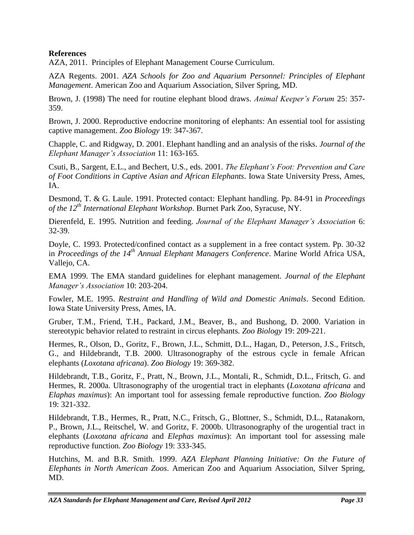## **References**

AZA, 2011. Principles of Elephant Management Course Curriculum.

AZA Regents. 2001. *AZA Schools for Zoo and Aquarium Personnel: Principles of Elephant Management*. American Zoo and Aquarium Association, Silver Spring, MD.

Brown, J. (1998) The need for routine elephant blood draws. *Animal Keeper's Forum* 25: 357- 359.

Brown, J. 2000. Reproductive endocrine monitoring of elephants: An essential tool for assisting captive management. *Zoo Biology* 19: 347-367.

Chapple, C. and Ridgway, D. 2001. Elephant handling and an analysis of the risks*. Journal of the Elephant Manager's Association* 11: 163-165.

Csuti, B., Sargent, E.L., and Bechert, U.S., eds. 2001. *The Elephant's Foot: Prevention and Care of Foot Conditions in Captive Asian and African Elephants*. Iowa State University Press, Ames, IA.

Desmond, T. & G. Laule. 1991. Protected contact: Elephant handling. Pp. 84-91 in *Proceedings of the 12th International Elephant Workshop*. Burnet Park Zoo, Syracuse, NY.

Dierenfeld, E. 1995. Nutrition and feeding. *Journal of the Elephant Manager's Association* 6: 32-39.

Doyle, C. 1993. Protected/confined contact as a supplement in a free contact system. Pp. 30-32 in *Proceedings of the 14th Annual Elephant Managers Conference*. Marine World Africa USA, Vallejo, CA.

EMA 1999. The EMA standard guidelines for elephant management. *Journal of the Elephant Manager's Association* 10: 203-204.

Fowler, M.E. 1995. *Restraint and Handling of Wild and Domestic Animals*. Second Edition. Iowa State University Press, Ames, IA.

Gruber, T.M., Friend, T.H., Packard, J.M., Beaver, B., and Bushong, D. 2000. Variation in stereotypic behavior related to restraint in circus elephants*. Zoo Biology* 19: 209-221.

Hermes, R., Olson, D., Goritz, F., Brown, J.L., Schmitt, D.L., Hagan, D., Peterson, J.S., Fritsch, G., and Hildebrandt, T.B. 2000. Ultrasonography of the estrous cycle in female African elephants (*Loxotana africana*). *Zoo Biology* 19: 369-382.

Hildebrandt, T.B., Goritz, F., Pratt, N., Brown, J.L., Montali, R., Schmidt, D.L., Fritsch, G. and Hermes, R. 2000a. Ultrasonography of the urogential tract in elephants (*Loxotana africana* and *Elaphas maximus*): An important tool for assessing female reproductive function. *Zoo Biology* 19: 321-332.

Hildebrandt, T.B., Hermes, R., Pratt, N.C., Fritsch, G., Blottner, S., Schmidt, D.L., Ratanakorn, P., Brown, J.L., Reitschel, W. and Goritz, F. 2000b. Ultrasonography of the urogential tract in elephants (*Loxotana africana* and *Elephas maximus*): An important tool for assessing male reproductive function. *Zoo Biology* 19: 333-345.

Hutchins, M. and B.R. Smith. 1999. *AZA Elephant Planning Initiative: On the Future of Elephants in North American Zoos*. American Zoo and Aquarium Association, Silver Spring, MD.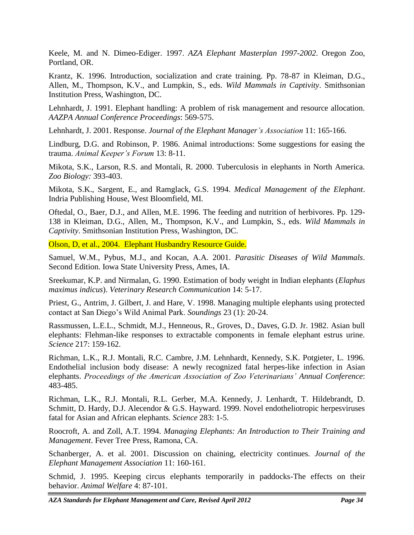Keele, M. and N. Dimeo-Ediger. 1997. *AZA Elephant Masterplan 1997-2002*. Oregon Zoo, Portland, OR.

Krantz, K. 1996. Introduction, socialization and crate training. Pp. 78-87 in Kleiman, D.G., Allen, M., Thompson, K.V., and Lumpkin, S., eds. *Wild Mammals in Captivity*. Smithsonian Institution Press, Washington, DC.

Lehnhardt, J. 1991. Elephant handling: A problem of risk management and resource allocation*. AAZPA Annual Conference Proceedings*: 569-575.

Lehnhardt, J. 2001. Response. *Journal of the Elephant Manager's Association* 11: 165-166.

Lindburg, D.G. and Robinson, P. 1986. Animal introductions: Some suggestions for easing the trauma. *Animal Keeper's Forum* 13: 8-11.

Mikota, S.K., Larson, R.S. and Montali, R. 2000. Tuberculosis in elephants in North America. *Zoo Biology:* 393-403.

Mikota, S.K., Sargent, E., and Ramglack, G.S. 1994. *Medical Management of the Elephant*. Indria Publishing House, West Bloomfield, MI.

Oftedal, O., Baer, D.J., and Allen, M.E. 1996. The feeding and nutrition of herbivores. Pp. 129- 138 in Kleiman, D.G., Allen, M., Thompson, K.V., and Lumpkin, S., eds. *Wild Mammals in Captivity*. Smithsonian Institution Press, Washington, DC.

Olson, D, et al., 2004. Elephant Husbandry Resource Guide.

Samuel, W.M., Pybus, M.J., and Kocan, A.A. 2001. *Parasitic Diseases of Wild Mammals*. Second Edition. Iowa State University Press, Ames, IA.

Sreekumar, K.P. and Nirmalan, G. 1990. Estimation of body weight in Indian elephants (*Elaphus maximus indicus*). *Veterinary Research Communication* 14: 5-17.

Priest, G., Antrim, J. Gilbert, J. and Hare, V. 1998. Managing multiple elephants using protected contact at San Diego's Wild Animal Park. *Soundings* 23 (1): 20-24.

Rassmussen, L.E.L., Schmidt, M.J., Henneous, R., Groves, D., Daves, G.D. Jr. 1982. Asian bull elephants: Flehman-like responses to extractable components in female elephant estrus urine. *Science* 217: 159-162.

Richman, L.K., R.J. Montali, R.C. Cambre, J.M. Lehnhardt, Kennedy, S.K. Potgieter, L. 1996. Endothelial inclusion body disease: A newly recognized fatal herpes-like infection in Asian elephants. *Proceedings of the American Association of Zoo Veterinarians' Annual Conference*: 483-485.

Richman, L.K., R.J. Montali, R.L. Gerber, M.A. Kennedy, J. Lenhardt, T. Hildebrandt, D. Schmitt, D. Hardy, D.J. Alecendor & G.S. Hayward. 1999. Novel endotheliotropic herpesviruses fatal for Asian and African elephants. *Science* 283: 1-5.

Roocroft, A. and Zoll, A.T. 1994. *Managing Elephants: An Introduction to Their Training and Management*. Fever Tree Press, Ramona, CA.

Schanberger, A. et al. 2001. Discussion on chaining, electricity continues*. Journal of the Elephant Management Association* 11: 160-161.

Schmid, J. 1995. Keeping circus elephants temporarily in paddocks-The effects on their behavior. *Animal Welfare* 4: 87-101.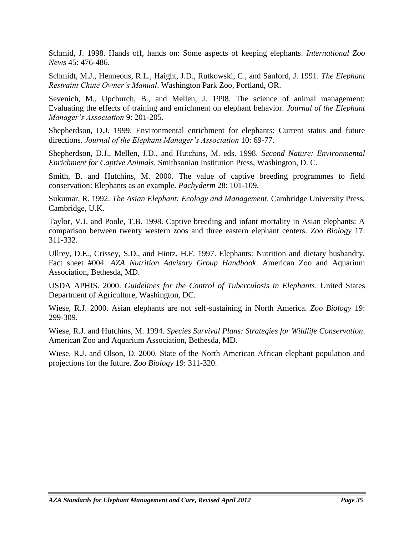Schmid, J. 1998. Hands off, hands on: Some aspects of keeping elephants. *International Zoo News* 45: 476-486.

Schmidt, M.J., Henneous, R.L., Haight, J.D., Rutkowski, C., and Sanford, J. 1991. *The Elephant Restraint Chute Owner's Manual*. Washington Park Zoo, Portland, OR.

Sevenich, M., Upchurch, B., and Mellen, J. 1998. The science of animal management: Evaluating the effects of training and enrichment on elephant behavior*. Journal of the Elephant Manager's Association* 9: 201-205.

Shepherdson, D.J. 1999. Environmental enrichment for elephants: Current status and future directions. *Journal of the Elephant Manager's Association* 10: 69-77.

Shepherdson, D.J., Mellen, J.D., and Hutchins, M. eds. 1998. *Second Nature: Environmental Enrichment for Captive Animals*. Smithsonian Institution Press, Washington, D. C.

Smith, B. and Hutchins, M. 2000. The value of captive breeding programmes to field conservation: Elephants as an example*. Pachyderm* 28: 101-109.

Sukumar, R. 1992. *The Asian Elephant: Ecology and Management*. Cambridge University Press, Cambridge, U.K.

Taylor, V.J. and Poole, T.B. 1998. Captive breeding and infant mortality in Asian elephants: A comparison between twenty western zoos and three eastern elephant centers. *Zoo Biology* 17: 311-332.

Ullrey, D.E., Crissey, S.D., and Hintz, H.F. 1997. Elephants: Nutrition and dietary husbandry. Fact sheet #004. *AZA Nutrition Advisory Group Handbook*. American Zoo and Aquarium Association, Bethesda, MD.

USDA APHIS. 2000. *Guidelines for the Control of Tuberculosis in Elephants*. United States Department of Agriculture, Washington, DC.

Wiese, R.J. 2000. Asian elephants are not self-sustaining in North America. *Zoo Biology* 19: 299-309.

Wiese, R.J. and Hutchins, M. 1994. *Species Survival Plans: Strategies for Wildlife Conservation*. American Zoo and Aquarium Association, Bethesda, MD.

Wiese, R.J. and Olson, D. 2000. State of the North American African elephant population and projections for the future. *Zoo Biology* 19: 311-320.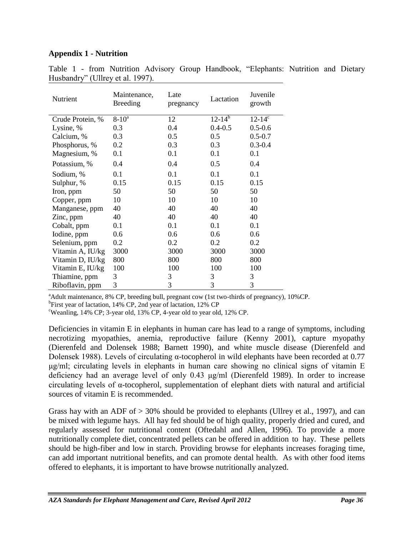### **Appendix 1 - Nutrition**

| Nutrient         | Maintenance,<br><b>Breeding</b> | Late<br>pregnancy | Lactation   | Juvenile<br>growth |
|------------------|---------------------------------|-------------------|-------------|--------------------|
| Crude Protein, % | $8 - 10^a$                      | 12                | $12-14^{b}$ | $12 - 14^c$        |
| Lysine, %        | 0.3                             | 0.4               | $0.4 - 0.5$ | $0.5 - 0.6$        |
| Calcium, %       | 0.3                             | 0.5               | 0.5         | $0.5 - 0.7$        |
| Phosphorus, %    | 0.2                             | 0.3               | 0.3         | $0.3 - 0.4$        |
| Magnesium, %     | 0.1                             | 0.1               | 0.1         | 0.1                |
| Potassium, %     | 0.4                             | 0.4               | 0.5         | 0.4                |
| Sodium, %        | 0.1                             | 0.1               | 0.1         | 0.1                |
| Sulphur, %       | 0.15                            | 0.15              | 0.15        | 0.15               |
| Iron, ppm        | 50                              | 50                | 50          | 50                 |
| Copper, ppm      | 10                              | 10                | 10          | 10                 |
| Manganese, ppm   | 40                              | 40                | 40          | 40                 |
| Zinc, ppm        | 40                              | 40                | 40          | 40                 |
| Cobalt, ppm      | 0.1                             | 0.1               | 0.1         | 0.1                |
| Iodine, ppm      | 0.6                             | 0.6               | 0.6         | 0.6                |
| Selenium, ppm    | 0.2                             | 0.2               | 0.2         | 0.2                |
| Vitamin A, IU/kg | 3000                            | 3000              | 3000        | 3000               |
| Vitamin D, IU/kg | 800                             | 800               | 800         | 800                |
| Vitamin E, IU/kg | 100                             | 100               | 100         | 100                |
| Thiamine, ppm    | 3                               | 3                 | 3           | 3                  |
| Riboflavin, ppm  | 3                               | 3                 | 3           | 3                  |

Table 1 - from Nutrition Advisory Group Handbook, "Elephants: Nutrition and Dietary Husbandry" (Ullrey et al. 1997).

<sup>a</sup>Adult maintenance, 8% CP, breeding bull, pregnant cow (1st two-thirds of pregnancy), 10%CP.

<sup>b</sup>First year of lactation, 14% CP, 2nd year of lactation, 12% CP

<sup>c</sup>Weanling, 14% CP; 3-year old, 13% CP, 4-year old to year old, 12% CP.

Deficiencies in vitamin E in elephants in human care has lead to a range of symptoms, including necrotizing myopathies, anemia, reproductive failure (Kenny 2001), capture myopathy (Dierenfeld and Dolensek 1988; Barnett 1990), and white muscle disease (Dierenfeld and Dolensek 1988). Levels of circulating α-tocopherol in wild elephants have been recorded at 0.77 μg/ml; circulating levels in elephants in human care showing no clinical signs of vitamin E deficiency had an average level of only 0.43 μg/ml (Dierenfeld 1989). In order to increase circulating levels of α-tocopherol, supplementation of elephant diets with natural and artificial sources of vitamin E is recommended.

Grass hay with an ADF of  $> 30\%$  should be provided to elephants (Ullrey et al., 1997), and can be mixed with legume hays. All hay fed should be of high quality, properly dried and cured, and regularly assessed for nutritional content (Oftedahl and Allen, 1996). To provide a more nutritionally complete diet, concentrated pellets can be offered in addition to hay. These pellets should be high-fiber and low in starch. Providing browse for elephants increases foraging time, can add important nutritional benefits, and can promote dental health. As with other food items offered to elephants, it is important to have browse nutritionally analyzed.